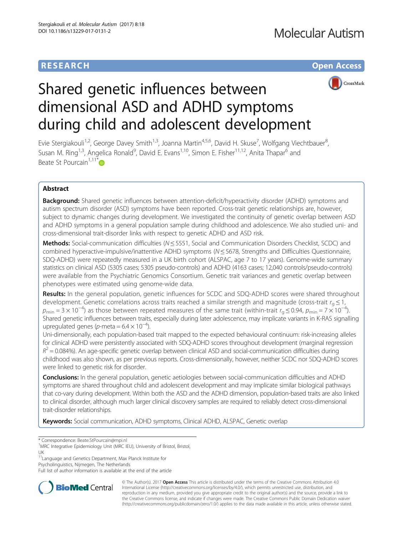# **RESEARCH CHE Open Access**



# Shared genetic influences between dimensional ASD and ADHD symptoms during child and adolescent development

Evie Stergiakouli<sup>1,2</sup>, George Davey Smith<sup>1,3</sup>, Joanna Martin<sup>4,5,6</sup>, David H. Skuse<sup>7</sup>, Wolfgang Viechtbauer<sup>8</sup> ;<br>, Susan M. Ring<sup>1,3</sup>, Angelica Ronald<sup>9</sup>, David E. Evans<sup>1,10</sup>, Simon E. Fisher<sup>11,12</sup>, Anita Thapar<sup>6</sup> and Beate St Pourcain<sup>1,11\*</sup>

# Abstract

**Background:** Shared genetic influences between attention-deficit/hyperactivity disorder (ADHD) symptoms and autism spectrum disorder (ASD) symptoms have been reported. Cross-trait genetic relationships are, however, subject to dynamic changes during development. We investigated the continuity of genetic overlap between ASD and ADHD symptoms in a general population sample during childhood and adolescence. We also studied uni- and cross-dimensional trait-disorder links with respect to genetic ADHD and ASD risk.

Methods: Social-communication difficulties (N ≤ 5551, Social and Communication Disorders Checklist, SCDC) and combined hyperactive-impulsive/inattentive ADHD symptoms ( $N \le 5678$ , Strengths and Difficulties Questionnaire, SDQ-ADHD) were repeatedly measured in a UK birth cohort (ALSPAC, age 7 to 17 years). Genome-wide summary statistics on clinical ASD (5305 cases; 5305 pseudo-controls) and ADHD (4163 cases; 12,040 controls/pseudo-controls) were available from the Psychiatric Genomics Consortium. Genetic trait variances and genetic overlap between phenotypes were estimated using genome-wide data.

Results: In the general population, genetic influences for SCDC and SDQ-ADHD scores were shared throughout development. Genetic correlations across traits reached a similar strength and magnitude (cross-trait  $r_a \le 1$ ,  $p_{\min} = 3 \times 10^{-4}$ ) as those between repeated measures of the same trait (within-trait  $r_g \le 0.94$ ,  $p_{\min} = 7 \times 10^{-4}$ ). Shared genetic influences between traits, especially during later adolescence, may implicate variants in K-RAS signalling upregulated genes (p-meta =  $6.4 \times 10^{-4}$ ).

Uni-dimensionally, each population-based trait mapped to the expected behavioural continuum: risk-increasing alleles for clinical ADHD were persistently associated with SDQ-ADHD scores throughout development (marginal regression  $R^2$  = 0.084%). An age-specific genetic overlap between clinical ASD and social-communication difficulties during childhood was also shown, as per previous reports. Cross-dimensionally, however, neither SCDC nor SDQ-ADHD scores were linked to genetic risk for disorder.

**Conclusions:** In the general population, genetic aetiologies between social-communication difficulties and ADHD symptoms are shared throughout child and adolescent development and may implicate similar biological pathways that co-vary during development. Within both the ASD and the ADHD dimension, population-based traits are also linked to clinical disorder, although much larger clinical discovery samples are required to reliably detect cross-dimensional trait-disorder relationships.

Keywords: Social communication, ADHD symptoms, Clinical ADHD, ALSPAC, Genetic overlap

<sup>1</sup>MRC Integrative Epidemiology Unit (MRC IEU), University of Bristol, Bristol, UK

Psycholinguistics, Nijmegen, The Netherlands

Full list of author information is available at the end of the article



© The Author(s). 2017 **Open Access** This article is distributed under the terms of the Creative Commons Attribution 4.0 International License [\(http://creativecommons.org/licenses/by/4.0/](http://creativecommons.org/licenses/by/4.0/)), which permits unrestricted use, distribution, and reproduction in any medium, provided you give appropriate credit to the original author(s) and the source, provide a link to the Creative Commons license, and indicate if changes were made. The Creative Commons Public Domain Dedication waiver [\(http://creativecommons.org/publicdomain/zero/1.0/](http://creativecommons.org/publicdomain/zero/1.0/)) applies to the data made available in this article, unless otherwise stated.

<sup>\*</sup> Correspondence: [Beate.StPourcain@mpi.nl](mailto:Beate.StPourcain@mpi.nl) <sup>1</sup>

<sup>11</sup>Language and Genetics Department, Max Planck Institute for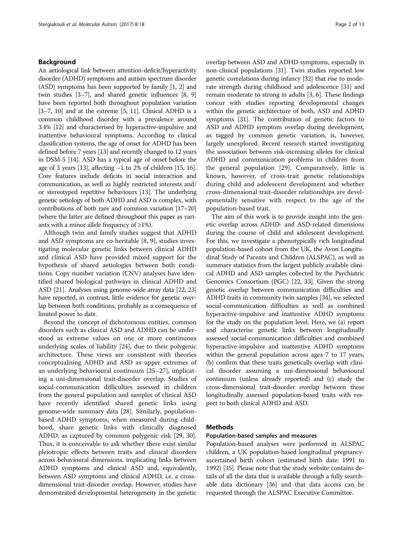# Background

An aetiological link between attention-deficit/hyperactivity disorder (ADHD) symptoms and autism spectrum disorder (ASD) symptoms has been supported by family [\[1](#page-10-0), [2](#page-10-0)] and twin studies [\[3](#page-10-0)–[7\]](#page-11-0), and shared genetic influences [[8, 9](#page-11-0)] have been reported both throughout population variation  $[3-7, 10]$  $[3-7, 10]$  $[3-7, 10]$  $[3-7, 10]$  $[3-7, 10]$  $[3-7, 10]$  $[3-7, 10]$  and at the extreme  $[5, 11]$  $[5, 11]$  $[5, 11]$  $[5, 11]$ . Clinical ADHD is a common childhood disorder with a prevalence around 3.4% [\[12](#page-11-0)] and characterised by hyperactive-impulsive and inattentive behavioural symptoms. According to clinical classification systems, the age of onset for ADHD has been defined before 7 years [[13](#page-11-0)] and recently changed to 12 years in DSM-5 [\[14\]](#page-11-0). ASD has a typical age of onset before the age of 3 years [[13](#page-11-0)], affecting  $~1$  to 2% of children [\[15, 16](#page-11-0)]. Core features include deficits in social interaction and communication, as well as highly restricted interests and/ or stereotyped repetitive behaviours [[13](#page-11-0)]. The underlying genetic aetiology of both ADHD and ASD is complex, with contributions of both rare and common variation [[17](#page-11-0)–[20](#page-11-0)] (where the latter are defined throughout this paper as variants with a minor allele frequency of  $\geq$ 1%).

Although twin and family studies suggest that ADHD and ASD symptoms are co-heritable [[8, 9\]](#page-11-0), studies investigating molecular genetic links between clinical ADHD and clinical ASD have provided mixed support for the hypothesis of shared aetiologies between both conditions. Copy number variation (CNV) analyses have identified shared biological pathways in clinical ADHD and ASD [\[21](#page-11-0)]. Analyses using genome-wide array data [\[22, 23](#page-11-0)] have reported, in contrast, little evidence for genetic overlap between both conditions, probably as a consequence of limited power to date.

Beyond the concept of dichotomous entities, common disorders such as clinical ASD and ADHD can be understood as extreme values on one or more continuous underlying scales of liability [\[24](#page-11-0)], due to their polygenic architecture. These views are consistent with theories conceptualising ADHD and ASD as upper extremes of an underlying behavioural continuum [[25](#page-11-0)–[27](#page-11-0)], implicating a uni-dimensional trait-disorder overlap. Studies of social-communication difficulties assessed in children from the general population and samples of clinical ASD have recently identified shared genetic links using genome-wide summary data [[28\]](#page-11-0). Similarly, populationbased ADHD symptoms, when measured during childhood, share genetic links with clinically diagnosed ADHD, as captured by common polygenic risk [[29, 30](#page-11-0)]. Thus, it is conceivable to ask whether there exist similar pleiotropic effects between traits and clinical disorders across behavioural dimensions, implicating links between ADHD symptoms and clinical ASD and, equivalently, between ASD symptoms and clinical ADHD, i.e. a crossdimensional trait-disorder overlap. However, studies have demonstrated developmental heterogeneity in the genetic overlap between ASD and ADHD symptoms, especially in non-clinical populations [\[31\]](#page-11-0). Twin studies reported low genetic correlations during infancy [\[32\]](#page-11-0) that rise to moderate strength during childhood and adolescence [\[31\]](#page-11-0) and remain moderate to strong in adults [\[3,](#page-10-0) [6\]](#page-11-0). These findings concur with studies reporting developmental changes within the genetic architecture of both, ASD and ADHD symptoms [\[31](#page-11-0)]. The contribution of genetic factors to ASD and ADHD symptom overlap during development, as tagged by common genetic variation, is, however, largely unexplored. Recent research started investigating the association between risk-increasing alleles for clinical ADHD and communication problems in children from the general population [[29\]](#page-11-0). Comparatively, little is known, however, of cross-trait genetic relationships during child and adolescent development and whether cross-dimensional trait-disorder relationships are developmentally sensitive with respect to the age of the population-based trait.

The aim of this work is to provide insight into the genetic overlap across ADHD- and ASD-related dimensions during the course of child and adolescent development. For this, we investigate a phenotypically rich longitudinal population-based cohort from the UK, the Avon Longitudinal Study of Parents and Children (ALSPAC), as well as summary statistics from the largest publicly available clinical ADHD and ASD samples collected by the Psychiatric Genomics Consortium (PGC) [\[22, 33](#page-11-0)]. Given the strong genetic overlap between communication difficulties and ADHD traits in community twin samples [[34](#page-11-0)], we selected social-communication difficulties as well as combined hyperactive-impulsive and inattentive ADHD symptoms for the study on the population level. Here, we (a) report and characterise genetic links between longitudinally assessed social-communication difficulties and combined hyperactive-impulsive and inattentive ADHD symptoms within the general population across ages 7 to 17 years, (b) confirm that these traits genetically overlap with clinical disorder assuming a uni-dimensional behavioural continuum (unless already reported) and (c) study the cross-dimensional trait-disorder overlap between these longitudinally assessed population-based traits with respect to both clinical ADHD and ASD.

# **Methods**

# Population-based samples and measures

Population-based analyses were performed in ALSPAC children, a UK population-based longitudinal pregnancyascertained birth cohort (estimated birth date: 1991 to 1992) [\[35\]](#page-11-0). Please note that the study website contains details of all the data that is available through a fully searchable data dictionary [\[36\]](#page-11-0) and that data access can be requested through the ALSPAC Executive Committee.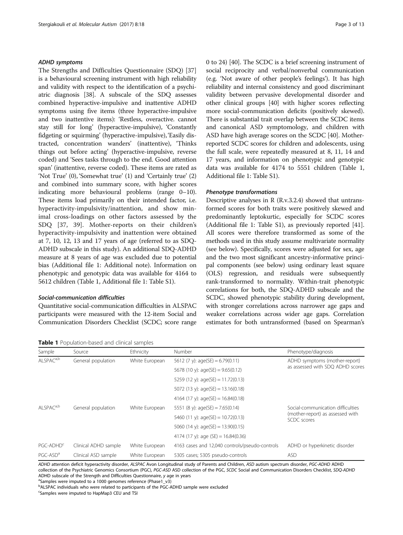# <span id="page-2-0"></span>ADHD symptoms

The Strengths and Difficulties Questionnaire (SDQ) [[37](#page-11-0)] is a behavioural screening instrument with high reliability and validity with respect to the identification of a psychiatric diagnosis [[38](#page-11-0)]. A subscale of the SDQ assesses combined hyperactive-impulsive and inattentive ADHD symptoms using five items (three hyperactive-impulsive and two inattentive items): 'Restless, overactive. cannot stay still for long' (hyperactive-impulsive), 'Constantly fidgeting or squirming' (hyperactive-impulsive), 'Easily distracted, concentration wanders' (inattentive), 'Thinks things out before acting' (hyperactive-impulsive, reverse coded) and 'Sees tasks through to the end. Good attention span' (inattentive, reverse coded). These items are rated as 'Not True' (0), 'Somewhat true' (1) and 'Certainly true' (2) and combined into summary score, with higher scores indicating more behavioural problems (range 0–10). These items load primarily on their intended factor, i.e. hyperactivity-impulsivity/inattention, and show minimal cross-loadings on other factors assessed by the SDQ [\[37](#page-11-0), [39](#page-11-0)]. Mother-reports on their children's hyperactivity-impulsivity and inattention were obtained at 7, 10, 12, 13 and 17 years of age (referred to as SDQ-ADHD subscale in this study). An additional SDQ-ADHD measure at 8 years of age was excluded due to potential bias (Additional file [1](#page-10-0): Additional note). Information on phenotypic and genotypic data was available for 4164 to 5612 children (Table 1, Additional file [1](#page-10-0): Table S1).

### Social-communication difficulties

Quantitative social-communication difficulties in ALSPAC participants were measured with the 12-item Social and Communication Disorders Checklist (SCDC; score range

Table 1 Population-based and clinical samples

0 to 24) [[40](#page-11-0)]. The SCDC is a brief screening instrument of social reciprocity and verbal/nonverbal communication (e.g. 'Not aware of other people's feelings'). It has high reliability and internal consistency and good discriminant validity between pervasive developmental disorder and other clinical groups [\[40\]](#page-11-0) with higher scores reflecting more social-communication deficits (positively skewed). There is substantial trait overlap between the SCDC items and canonical ASD symptomology, and children with ASD have high average scores on the SCDC [\[40](#page-11-0)]. Motherreported SCDC scores for children and adolescents, using the full scale, were repeatedly measured at 8, 11, 14 and 17 years, and information on phenotypic and genotypic data was available for 4174 to 5551 children (Table 1, Additional file [1](#page-10-0): Table S1).

#### Phenotype transformations

Descriptive analyses in R (R.v.3.2.4) showed that untransformed scores for both traits were positively skewed and predominantly leptokurtic, especially for SCDC scores (Additional file [1:](#page-10-0) Table S1), as previously reported [[41](#page-11-0)]. All scores were therefore transformed as some of the methods used in this study assume multivariate normality (see below). Specifically, scores were adjusted for sex, age and the two most significant ancestry-informative principal components (see below) using ordinary least square (OLS) regression, and residuals were subsequently rank-transformed to normality. Within-trait phenotypic correlations for both, the SDQ-ADHD subscale and the SCDC, showed phenotypic stability during development, with stronger correlations across narrower age gaps and weaker correlations across wider age gaps. Correlation estimates for both untransformed (based on Spearman's

| Sample                | Source               | Ethnicity      | Number                                         | Phenotype/diagnosis                                                                  |
|-----------------------|----------------------|----------------|------------------------------------------------|--------------------------------------------------------------------------------------|
| ALSPAC <sup>a,b</sup> | General population   | White European | 5612 (7 y): $age(SE) = 6.79(0.11)$             | ADHD symptoms (mother-report)<br>as assessed with SDQ ADHD scores                    |
|                       |                      |                | 5678 (10 y): $age(SE) = 9.65(0.12)$            |                                                                                      |
|                       |                      |                | 5259 (12 y): $age(SE) = 11.72(0.13)$           |                                                                                      |
|                       |                      |                | 5072 (13 y): $age(SE) = 13.16(0.18)$           |                                                                                      |
|                       |                      |                | 4164 (17 y): $age(SE) = 16.84(0.18)$           |                                                                                      |
| ALSPAC <sup>a,b</sup> | General population   | White European | 5551 (8 y): $age(SE) = 7.65(0.14)$             | Social-communication difficulties<br>(mother-report) as assessed with<br>SCDC scores |
|                       |                      |                | 5460 (11 y): $age(SE) = 10.72(0.13)$           |                                                                                      |
|                       |                      |                | 5060 (14 y): $age(SE) = 13.90(0.15)$           |                                                                                      |
|                       |                      |                | 4174 (17 y): age (SE) = $16.84(0.36)$          |                                                                                      |
| PGC-ADHD <sup>c</sup> | Clinical ADHD sample | White European | 4163 cases and 12,040 controls/pseudo-controls | ADHD or hyperkinetic disorder                                                        |
| PGC-ASD <sup>a</sup>  | Clinical ASD sample  | White European | 5305 cases; 5305 pseudo-controls               | <b>ASD</b>                                                                           |

ADHD attention deficit hyperactivity disorder, ALSPAC Avon Longitudinal study of Parents and Children, ASD autism spectrum disorder, PGC-ADHD ADHD collection of the Psychiatric Genomics Consortium (PGC), PGC-ASD ASD collection of the PGC, SCDC Social and Communication Disorders Checklist, SDQ-ADHD ADHD subscale of the Strength and Difficulties Questionnaire, y age in years

<sup>a</sup>Samples were imputed to a 1000 genomes reference (Phase1\_v3)

**b**ALSPAC individuals who were related to participants of the PGC-ADHD sample were excluded

<sup>c</sup>Samples were imputed to HapMap3 CEU and TSI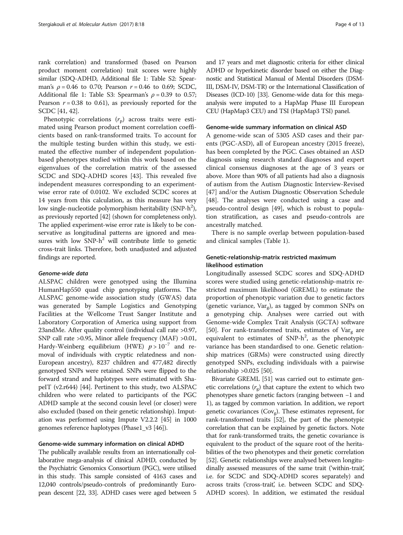rank correlation) and transformed (based on Pearson product moment correlation) trait scores were highly similar (SDQ-ADHD, Additional file [1:](#page-10-0) Table S2: Spearman's  $\rho = 0.46$  to 0.70; Pearson  $r = 0.46$  to 0.69; SCDC, Additional file [1](#page-10-0): Table S3: Spearman's  $\rho = 0.39$  to 0.57; Pearson  $r = 0.38$  to 0.61), as previously reported for the SCDC [[41](#page-11-0), [42\]](#page-11-0).

Phenotypic correlations  $(r_p)$  across traits were estimated using Pearson product moment correlation coefficients based on rank-transformed traits. To account for the multiple testing burden within this study, we estimated the effective number of independent populationbased phenotypes studied within this work based on the eigenvalues of the correlation matrix of the assessed SCDC and SDQ-ADHD scores [[43\]](#page-11-0). This revealed five independent measures corresponding to an experimentwise error rate of 0.0102. We excluded SCDC scores at 14 years from this calculation, as this measure has very low single-nucleotide polymorphism heritability (SNP-h<sup>2</sup>), as previously reported [[42](#page-11-0)] (shown for completeness only). The applied experiment-wise error rate is likely to be conservative as longitudinal patterns are ignored and measures with low  $SNP-h^2$  will contribute little to genetic cross-trait links. Therefore, both unadjusted and adjusted findings are reported.

### Genome-wide data

ALSPAC children were genotyped using the Illumina HumanHap550 quad chip genotyping platforms. The ALSPAC genome-wide association study (GWAS) data was generated by Sample Logistics and Genotyping Facilities at the Wellcome Trust Sanger Institute and Laboratory Corporation of America using support from 23andMe. After quality control (individual call rate >0.97, SNP call rate >0.95, Minor allele frequency (MAF) >0.01, Hardy-Weinberg equilibrium (HWE)  $p > 10^{-7}$  and removal of individuals with cryptic relatedness and non-European ancestry), 8237 children and 477,482 directly genotyped SNPs were retained. SNPs were flipped to the forward strand and haplotypes were estimated with ShapeIT (v2.r644) [\[44\]](#page-11-0). Pertinent to this study, two ALSPAC children who were related to participants of the PGC ADHD sample at the second cousin level (or closer) were also excluded (based on their genetic relationship). Imputation was performed using Impute V2.2.2 [\[45\]](#page-11-0) in 1000 genomes reference haplotypes (Phase1\_v3 [\[46\]](#page-11-0)).

#### Genome-wide summary information on clinical ADHD

The publically available results from an internationally collaborative mega-analysis of clinical ADHD, conducted by the Psychiatric Genomics Consortium (PGC), were utilised in this study. This sample consisted of 4163 cases and 12,040 controls/pseudo-controls of predominantly European descent [[22](#page-11-0), [33](#page-11-0)]. ADHD cases were aged between 5 and 17 years and met diagnostic criteria for either clinical ADHD or hyperkinetic disorder based on either the Diagnostic and Statistical Manual of Mental Disorders (DSM-III, DSM-IV, DSM-TR) or the International Classification of Diseases (ICD-10) [[33](#page-11-0)]. Genome-wide data for this megaanalysis were imputed to a HapMap Phase III European CEU (HapMap3 CEU) and TSI (HapMap3 TSI) panel.

#### Genome-wide summary information on clinical ASD

A genome-wide scan of 5305 ASD cases and their parents (PGC-ASD), all of European ancestry (2015 freeze), has been completed by the PGC. Cases obtained an ASD diagnosis using research standard diagnoses and expert clinical consensus diagnoses at the age of 3 years or above. More than 90% of all patients had also a diagnosis of autism from the Autism Diagnostic Interview-Revised [[47\]](#page-11-0) and/or the Autism Diagnostic Observation Schedule [[48\]](#page-11-0). The analyses were conducted using a case and pseudo-control design [[49\]](#page-11-0), which is robust to population stratification, as cases and pseudo-controls are ancestrally matched.

There is no sample overlap between population-based and clinical samples (Table [1\)](#page-2-0).

# Genetic-relationship-matrix restricted maximum likelihood estimation

Longitudinally assessed SCDC scores and SDQ-ADHD scores were studied using genetic-relationship-matrix restricted maximum likelihood (GREML) to estimate the proportion of phenotypic variation due to genetic factors (genetic variance,  $Var_g$ ), as tagged by common SNPs on a genotyping chip. Analyses were carried out with Genome-wide Complex Trait Analysis (GCTA) software [[50\]](#page-11-0). For rank-transformed traits, estimates of Var $_{\alpha}$  are equivalent to estimates of  $SNP-h^2$ , as the phenotypic variance has been standardised to one. Genetic relationship matrices (GRMs) were constructed using directly genotyped SNPs, excluding individuals with a pairwise relationship >0.025 [\[50\]](#page-11-0).

Bivariate GREML [\[51](#page-11-0)] was carried out to estimate genetic correlations  $(r_g)$  that capture the extent to which two phenotypes share genetic factors (ranging between −1 and 1), as tagged by common variation. In addition, we report genetic covariances  $(Cov_{g})$ . These estimates represent, for rank-transformed traits [[52](#page-12-0)], the part of the phenotypic correlation that can be explained by genetic factors. Note that for rank-transformed traits, the genetic covariance is equivalent to the product of the square root of the heritabilities of the two phenotypes and their genetic correlation [[52](#page-12-0)]. Genetic relationships were analysed between longitudinally assessed measures of the same trait ('within-trait', i.e. for SCDC and SDQ-ADHD scores separately) and across traits ('cross-trait', i.e. between SCDC and SDQ-ADHD scores). In addition, we estimated the residual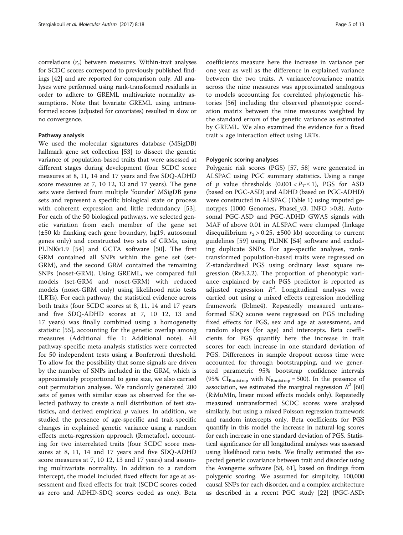correlations  $(r_e)$  between measures. Within-trait analyses for SCDC scores correspond to previously published findings [[42](#page-11-0)] and are reported for comparison only. All analyses were performed using rank-transformed residuals in order to adhere to GREML multivariate normality assumptions. Note that bivariate GREML using untransformed scores (adjusted for covariates) resulted in slow or no convergence.

# Pathway analysis

We used the molecular signatures database (MSigDB) hallmark gene set collection [[53\]](#page-12-0) to dissect the genetic variance of population-based traits that were assessed at different stages during development (four SCDC score measures at 8, 11, 14 and 17 years and five SDQ-ADHD score measures at 7, 10 12, 13 and 17 years). The gene sets were derived from multiple 'founder' MSigDB gene sets and represent a specific biological state or process with coherent expression and little redundancy [\[53](#page-12-0)]. For each of the 50 biological pathways, we selected genetic variation from each member of the gene set (±50 kb flanking each gene boundary, hg19, autosomal genes only) and constructed two sets of GRMs, using PLINKv1.9 [\[54](#page-12-0)] and GCTA software [[50](#page-11-0)]. The first GRM contained all SNPs within the gene set (set-GRM), and the second GRM contained the remaining SNPs (noset-GRM). Using GREML, we compared full models (set-GRM and noset-GRM) with reduced models (noset-GRM only) using likelihood ratio tests (LRTs). For each pathway, the statistical evidence across both traits (four SCDC scores at 8, 11, 14 and 17 years and five SDQ-ADHD scores at 7, 10 12, 13 and 17 years) was finally combined using a homogeneity statistic [\[55](#page-12-0)], accounting for the genetic overlap among measures (Additional file [1](#page-10-0): Additional note). All pathway-specific meta-analysis statistics were corrected for 50 independent tests using a Bonferroni threshold. To allow for the possibility that some signals are driven by the number of SNPs included in the GRM, which is approximately proportional to gene size, we also carried out permutation analyses. We randomly generated 200 sets of genes with similar sizes as observed for the selected pathway to create a null distribution of test statistics, and derived empirical  $p$  values. In addition, we studied the presence of age-specific and trait-specific changes in explained genetic variance using a random effects meta-regression approach (R:metafor), accounting for two interrelated traits (four SCDC score measures at 8, 11, 14 and 17 years and five SDQ-ADHD score measures at 7, 10 12, 13 and 17 years) and assuming multivariate normality. In addition to a random intercept, the model included fixed effects for age at assessment and fixed effects for trait (SCDC scores coded as zero and ADHD-SDQ scores coded as one). Beta coefficients measure here the increase in variance per one year as well as the difference in explained variance between the two traits. A variance/covariance matrix across the nine measures was approximated analogous to models accounting for correlated phylogenetic histories [\[56](#page-12-0)] including the observed phenotypic correlation matrix between the nine measures weighted by the standard errors of the genetic variance as estimated by GREML. We also examined the evidence for a fixed trait  $\times$  age interaction effect using LRTs.

#### Polygenic scoring analyses

Polygenic risk scores (PGS) [[57, 58](#page-12-0)] were generated in ALSPAC using PGC summary statistics. Using a range of *p* value thresholds  $(0.001 < P_T \le 1)$ , PGS for ASD (based on PGC-ASD) and ADHD (based on PGC-ADHD) were constructed in ALSPAC (Table [1](#page-2-0)) using imputed genotypes (1000 Genomes, PhaseI v3, INFO >0.8). Autosomal PGC-ASD and PGC-ADHD GWAS signals with MAF of above 0.01 in ALSPAC were clumped (linkage disequilibrium  $r_2 > 0.25$ ,  $\pm 500$  kb) according to current guidelines [[59\]](#page-12-0) using PLINK [[54\]](#page-12-0) software and excluding duplicate SNPs. For age-specific analyses, ranktransformed population-based traits were regressed on Z-standardised PGS using ordinary least square regression (Rv3.2.2). The proportion of phenotypic variance explained by each PGS predictor is reported as adjusted regression  $R^2$ . Longitudinal analyses were carried out using a mixed effects regression modelling framework (R:lme4). Repeatedly measured untransformed SDQ scores were regressed on PGS including fixed effects for PGS, sex and age at assessment, and random slopes (for age) and intercepts. Beta coefficients for PGS quantify here the increase in trait scores for each increase in one standard deviation of PGS. Differences in sample dropout across time were accounted for through bootstrapping, and we generated parametric 95% bootstrap confidence intervals (95%  $CI_{\text{Bootstrap}}$  with  $N_{\text{Bootstrap}} = 500$ ). In the presence of association, we estimated the marginal regression  $R^2$  [[60](#page-12-0)] (R:MuMIn, linear mixed effects models only). Repeatedly measured untransformed SCDC scores were analysed similarly, but using a mixed Poisson regression framework and random intercepts only. Beta coefficients for PGS quantify in this model the increase in natural-log scores for each increase in one standard deviation of PGS. Statistical significance for all longitudinal analyses was assessed using likelihood ratio tests. We finally estimated the expected genetic covariance between trait and disorder using the Avengeme software [[58](#page-12-0), [61](#page-12-0)], based on findings from polygenic scoring. We assumed for simplicity, 100,000 causal SNPs for each disorder, and a complex architecture as described in a recent PGC study [\[22\]](#page-11-0) (PGC-ASD: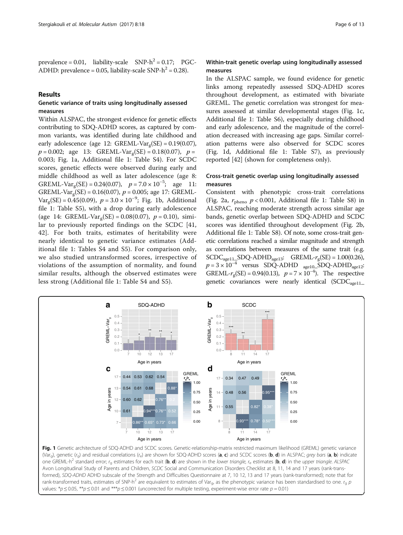<span id="page-5-0"></span>prevalence =  $0.01$ , liability-scale SNP- $h^2 = 0.17$ ; PGC-ADHD: prevalence = 0.05, liability-scale SNP- $h^2$  = 0.28).

# Results

# Genetic variance of traits using longitudinally assessed measures

Within ALSPAC, the strongest evidence for genetic effects contributing to SDQ-ADHD scores, as captured by common variants, was identified during late childhood and early adolescence (age 12: GREML-Var<sub>g</sub>(SE) =  $0.19(0.07)$ ,  $p = 0.002$ ; age 13: GREML-Var<sub>g</sub>(SE) = 0.18(0.07),  $p =$ 0.003; Fig. 1a, Additional file [1](#page-10-0): Table S4). For SCDC scores, genetic effects were observed during early and middle childhood as well as later adolescence (age 8: GREML-Var<sub>g</sub>(SE) = 0.24(0.07),  $p = 7.0 \times 10^{-5}$ ; age 11: GREML-Var<sub>g</sub>(SE) = 0.16(0.07),  $p = 0.005$ ; age 17: GREML-Var<sub>g</sub>(SE) = 0.45(0.09),  $p = 3.0 \times 10^{-9}$ ; Fig. 1b, Additional file [1:](#page-10-0) Table S5), with a drop during early adolescence (age 14: GREML-Var<sub> $\sigma$ </sub>(SE) = 0.08(0.07), p = 0.10), similar to previously reported findings on the SCDC [\[41](#page-11-0), [42\]](#page-11-0). For both traits, estimates of heritability were nearly identical to genetic variance estimates (Additional file [1](#page-10-0): Tables S4 and S5). For comparison only, we also studied untransformed scores, irrespective of violations of the assumption of normality, and found similar results, although the observed estimates were less strong (Additional file [1](#page-10-0): Table S4 and S5).

# Within-trait genetic overlap using longitudinally assessed measures

In the ALSPAC sample, we found evidence for genetic links among repeatedly assessed SDQ-ADHD scores throughout development, as estimated with bivariate GREML. The genetic correlation was strongest for measures assessed at similar developmental stages (Fig. 1c, Additional file [1](#page-10-0): Table S6), especially during childhood and early adolescence, and the magnitude of the correlation decreased with increasing age gaps. Similar correlation patterns were also observed for SCDC scores (Fig. 1d, Additional file [1](#page-10-0): Table S7), as previously reported [[42\]](#page-11-0) (shown for completeness only).

# Cross-trait genetic overlap using longitudinally assessed measures

Consistent with phenotypic cross-trait correlations (Fig. [2a](#page-6-0),  $r_{\text{pheno}}$   $p < 0.001$ , Additional file [1:](#page-10-0) Table S8) in ALSPAC, reaching moderate strength across similar age bands, genetic overlap between SDQ-ADHD and SCDC scores was identified throughout development (Fig. [2b](#page-6-0), Additional file [1](#page-10-0): Table S8). Of note, some cross-trait genetic correlations reached a similar magnitude and strength as correlations between measures of the same trait (e.g.  $SCDC<sub>age11</sub>SDQ-ADHD<sub>age13</sub>:  $GREML-r<sub>g</sub>(SE) = 1.00(0.26),$$  $p = 3 \times 10^{-4}$  versus SDQ-ADHD <sub>age10</sub>\_SDQ-ADHD<sub>age12</sub>: GREML- $r_g$ (SE) = 0.94(0.13),  $p = 7 \times 10^{-4}$ ). The respective genetic covariances were nearly identical  $(SCDC_{\text{age}11-})$ 



(Var<sub>g</sub>), genetic (r<sub>g</sub>) and residual correlations (r<sub>e</sub>) are shown for SDQ-ADHD scores (a, c) and SCDC scores (b, d) in ALSPAC; grey bars (a, b) indicate one GREML-h<sup>2</sup> standard error; r<sub>g</sub> estimates for each trait (b, d) are shown in the lower triangle, r<sub>e</sub> estimates (b, d) in the upper triangle. ALSPAC Avon Longitudinal Study of Parents and Children, SCDC Social and Communication Disorders Checklist at 8, 11, 14 and 17 years (rank-transformed), SDQ-ADHD ADHD subscale of the Strength and Difficulties Questionnaire at 7, 10 12, 13 and 17 years (rank-transformed); note that for rank-transformed traits, estimates of SNP-h<sup>2</sup> are equivalent to estimates of Var<sub>g</sub>, as the phenotypic variance has been standardised to one. r<sub>g</sub> p values: \* $p \le 0.05$ , \*\* $p \le 0.01$  and \*\*\* $p \le 0.001$  (uncorrected for multiple testing, experiment-wise error rate  $p = 0.01$ )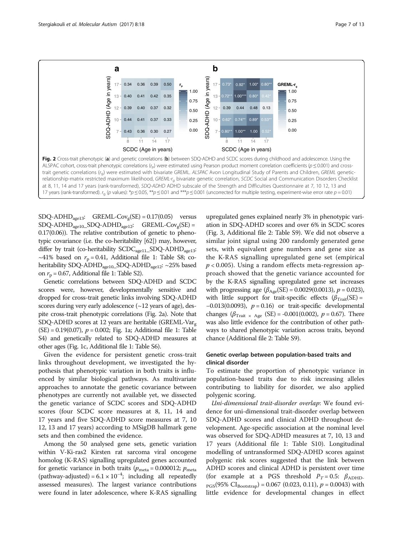<span id="page-6-0"></span>

 $SDQ-ADHD<sub>aeel3</sub>$ : GREML- $Cov<sub>g</sub>(SE) = 0.17(0.05)$  versus  $SDO-ADHD_{age10}$  $SDQ-ADHD_{age12}$ :  $GREML-Cov_{g}(SE)$  = 0.17(0.06)). The relative contribution of genetic to phenotypic covariance (i.e. the co-heritability [\[62](#page-12-0)]) may, however, differ by trait (co-heritability SCDC<sub>age11</sub>\_SDQ-ADHD<sub>age13</sub>: ~41% based on  $r_p = 0.41$ , Additional file [1](#page-10-0): Table S8; coheritability SDQ-ADHD<sub>age10</sub>\_SDQ-ADHD<sub>age12</sub>: ~25% based on  $r_p = 0.67$ , Additional file [1](#page-10-0): Table S2).

Genetic correlations between SDQ-ADHD and SCDC scores were, however, developmentally sensitive and dropped for cross-trait genetic links involving SDQ-ADHD scores during very early adolescence  $(\sim 12$  years of age), despite cross-trait phenotypic correlations (Fig. 2a). Note that SDQ-ADHD scores at 12 years are heritable (GREML-Var<sub> $\sigma$ </sub>)  $(SE) = 0.19(0.07), p = 0.002$ ; Fig. [1a](#page-5-0); Additional file [1:](#page-10-0) Table S4) and genetically related to SDQ-ADHD measures at other ages (Fig. [1c,](#page-5-0) Additional file [1](#page-10-0): Table S6).

Given the evidence for persistent genetic cross-trait links throughout development, we investigated the hypothesis that phenotypic variation in both traits is influenced by similar biological pathways. As multivariate approaches to annotate the genetic covariance between phenotypes are currently not available yet, we dissected the genetic variance of SCDC scores and SDQ-ADHD scores (four SCDC score measures at 8, 11, 14 and 17 years and five SDQ-ADHD score measures at 7, 10 12, 13 and 17 years) according to MSigDB hallmark gene sets and then combined the evidence.

Among the 50 analysed gene sets, genetic variation within V-Ki-ras2 Kirsten rat sarcoma viral oncogene homolog (K-RAS) signalling upregulated genes accounted for genetic variance in both traits ( $p_{\text{meta}} = 0.000012$ ;  $p_{\text{meta}}$ (pathway-adjusted) =  $6.1 \times 10^{-4}$ ; including all repeatedly assessed measures). The largest variance contributions were found in later adolescence, where K-RAS signalling

upregulated genes explained nearly 3% in phenotypic variation in SDQ-ADHD scores and over 6% in SCDC scores (Fig. [3](#page-7-0), Additional file [2](#page-10-0): Table S9). We did not observe a similar joint signal using 200 randomly generated gene sets, with equivalent gene numbers and gene size as the K-RAS signalling upregulated gene set (empirical  $p < 0.005$ ). Using a random effects meta-regression approach showed that the genetic variance accounted for by the K-RAS signalling upregulated gene set increases with progressing age  $(\beta_{\text{Age}}(SE) = 0.0029(0.0013), p = 0.023)$ , with little support for trait-specific effects  $(\beta_{\text{Trait}}(SE))$  =  $-0.013(0.0093)$ ,  $p = 0.16$ ) or trait-specific developmental changes ( $\beta_{\text{Trait}} \times \text{Age}$  (SE) = -0.001(0.002),  $p = 0.67$ ). There was also little evidence for the contribution of other pathways to shared phenotypic variation across traits, beyond chance (Additional file [2](#page-10-0): Table S9).

# Genetic overlap between population-based traits and clinical disorder

To estimate the proportion of phenotypic variance in population-based traits due to risk increasing alleles contributing to liability for disorder, we also applied polygenic scoring.

Uni-dimensional trait-disorder overlap: We found evidence for uni-dimensional trait-disorder overlap between SDQ-ADHD scores and clinical ADHD throughout development. Age-specific association at the nominal level was observed for SDQ-ADHD measures at 7, 10, 13 and 17 years (Additional file [1:](#page-10-0) Table S10). Longitudinal modelling of untransformed SDQ-ADHD scores against polygenic risk scores suggested that the link between ADHD scores and clinical ADHD is persistent over time (for example at a PGS threshold  $P_T = 0.5$ :  $\beta_{ADHD}$ .  $_{PGS}(95\% \text{ CI}_{\text{Bootstrap}}) = 0.067 (0.023, 0.11), p = 0.0043)$  with little evidence for developmental changes in effect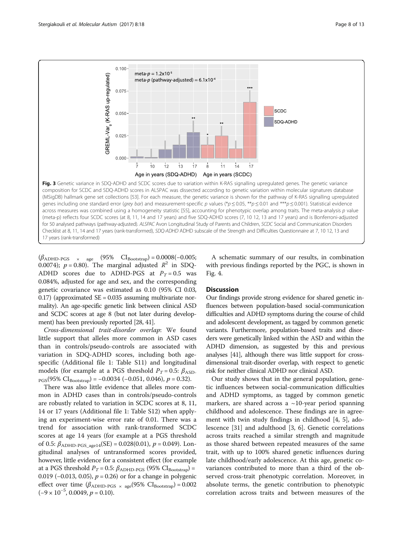<span id="page-7-0"></span>

 $(\beta_{ADHD\text{-}PGS} \times \text{age} \quad (95\% \quad \text{CI}_{Bootstrap}) = 0.0008(-0.005;$ 0.0074);  $p = 0.80$ . The marginal adjusted  $R^2$  in SDQ-ADHD scores due to ADHD-PGS at  $P_T = 0.5$  was 0.084%, adjusted for age and sex, and the corresponding genetic covariance was estimated as 0.10 (95% CI 0.03, 0.17) (approximated  $SE = 0.035$  assuming multivariate normality). An age-specific genetic link between clinical ASD and SCDC scores at age 8 (but not later during development) has been previously reported [\[28](#page-11-0), [41](#page-11-0)].

Cross-dimensional trait-disorder overlap: We found little support that alleles more common in ASD cases than in controls/pseudo-controls are associated with variation in SDQ-ADHD scores, including both agespecific (Additional file [1](#page-10-0): Table S11) and longitudinal models (for example at a PGS threshold  $P_T = 0.5$ :  $\beta_{ASD}$ .  $_{PGS}(95\% \ CI_{Boostrap}) = -0.0034 (-0.051, 0.046), p = 0.32).$ 

There was also little evidence that alleles more common in ADHD cases than in controls/pseudo-controls are robustly related to variation in SCDC scores at 8, 11, 14 or 17 years (Additional file [1](#page-10-0): Table S12) when applying an experiment-wise error rate of 0.01. There was a trend for association with rank-transformed SCDC scores at age 14 years (for example at a PGS threshold of 0.5:  $\beta_{ADHD\text{-}PGS\_aged14}(SE) = 0.028(0.01)$ ,  $p = 0.049$ ). Longitudinal analyses of untransformed scores provided, however, little evidence for a consistent effect (for example at a PGS threshold  $P_T = 0.5$ :  $\beta_{ADHD\text{-}PGS}$  (95%  $CI_{Bootstrap}$ ) = 0.019 (-0.013, 0.05),  $p = 0.26$ ) or for a change in polygenic effect over time  $(\beta_{ADHD\text{-}PGS \times age}(95\% \text{ CI}_{Boostrap}) = 0.002$  $(-9 \times 10^{-5}, 0.0049, p = 0.10).$ 

A schematic summary of our results, in combination with previous findings reported by the PGC, is shown in Fig. [4](#page-8-0).

# **Discussion**

Our findings provide strong evidence for shared genetic influences between population-based social-communication difficulties and ADHD symptoms during the course of child and adolescent development, as tagged by common genetic variants. Furthermore, population-based traits and disorders were genetically linked within the ASD and within the ADHD dimension, as suggested by this and previous analyses [[41\]](#page-11-0), although there was little support for crossdimensional trait-disorder overlap, with respect to genetic risk for neither clinical ADHD nor clinical ASD.

Our study shows that in the general population, genetic influences between social-communication difficulties and ADHD symptoms, as tagged by common genetic markers, are shared across a  $\sim$ 10-year period spanning childhood and adolescence. These findings are in agreement with twin study findings in childhood [\[4](#page-11-0), [5](#page-11-0)], adolescence [[31](#page-11-0)] and adulthood [[3,](#page-10-0) [6\]](#page-11-0). Genetic correlations across traits reached a similar strength and magnitude as those shared between repeated measures of the same trait, with up to 100% shared genetic influences during late childhood/early adolescence. At this age, genetic covariances contributed to more than a third of the observed cross-trait phenotypic correlation. Moreover, in absolute terms, the genetic contribution to phenotypic correlation across traits and between measures of the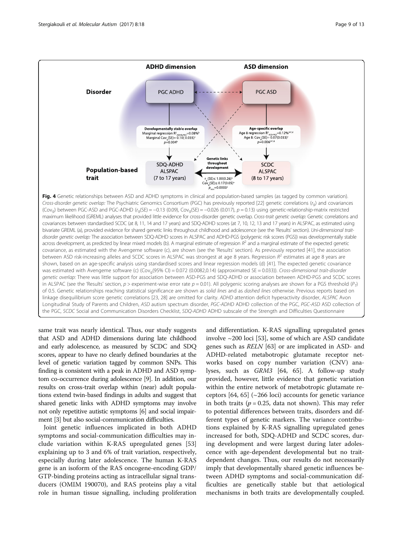<span id="page-8-0"></span>

same trait was nearly identical. Thus, our study suggests that ASD and ADHD dimensions during late childhood and early adolescence, as measured by SCDC and SDQ scores, appear to have no clearly defined boundaries at the level of genetic variation tagged by common SNPs. This finding is consistent with a peak in ADHD and ASD symptom co-occurrence during adolescence [[9](#page-11-0)]. In addition, our results on cross-trait overlap within (near) adult populations extend twin-based findings in adults and suggest that shared genetic links with ADHD symptoms may involve not only repetitive autistic symptoms [\[6\]](#page-11-0) and social impairment [[3](#page-10-0)] but also social-communication difficulties.

Joint genetic influences implicated in both ADHD symptoms and social-communication difficulties may include variation within K-RAS upregulated genes [[53](#page-12-0)] explaining up to 3 and 6% of trait variation, respectively, especially during later adolescence. The human K-RAS gene is an isoform of the RAS oncogene-encoding GDP/ GTP-binding proteins acting as intracellular signal transducers (OMIM 190070), and RAS proteins play a vital role in human tissue signalling, including proliferation

and differentiation. K-RAS signalling upregulated genes involve ~200 loci [\[53\]](#page-12-0), some of which are ASD candidate genes such as RELN [\[63](#page-12-0)] or are implicated in ASD- and ADHD-related metabotropic glutamate receptor networks based on copy number variation (CNV) analyses, such as GRM3 [\[64](#page-12-0), [65\]](#page-12-0). A follow-up study provided, however, little evidence that genetic variation within the entire network of metabotropic glutamate receptors  $[64, 65]$  $[64, 65]$  $[64, 65]$  $[64, 65]$  $[64, 65]$  ( $\sim$ 266 loci) accounts for genetic variance in both traits ( $p = 0.25$ , data not shown). This may refer to potential differences between traits, disorders and different types of genetic markers. The variance contributions explained by K-RAS signalling upregulated genes increased for both, SDQ-ADHD and SCDC scores, during development and were largest during later adolescence with age-dependent developmental but no traitdependent changes. Thus, our results do not necessarily imply that developmentally shared genetic influences between ADHD symptoms and social-communication difficulties are genetically stable but that aetiological mechanisms in both traits are developmentally coupled.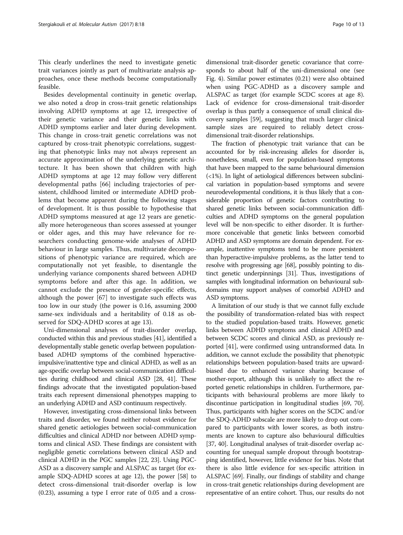This clearly underlines the need to investigate genetic trait variances jointly as part of multivariate analysis approaches, once these methods become computationally feasible.

Besides developmental continuity in genetic overlap, we also noted a drop in cross-trait genetic relationships involving ADHD symptoms at age 12, irrespective of their genetic variance and their genetic links with ADHD symptoms earlier and later during development. This change in cross-trait genetic correlations was not captured by cross-trait phenotypic correlations, suggesting that phenotypic links may not always represent an accurate approximation of the underlying genetic architecture. It has been shown that children with high ADHD symptoms at age 12 may follow very different developmental paths [[66\]](#page-12-0) including trajectories of persistent, childhood limited or intermediate ADHD problems that become apparent during the following stages of development. It is thus possible to hypothesise that ADHD symptoms measured at age 12 years are genetically more heterogeneous than scores assessed at younger or older ages, and this may have relevance for researchers conducting genome-wide analyses of ADHD behaviour in large samples. Thus, multivariate decompositions of phenotypic variance are required, which are computationally not yet feasible, to disentangle the underlying variance components shared between ADHD symptoms before and after this age. In addition, we cannot exclude the presence of gender-specific effects, although the power [[67\]](#page-12-0) to investigate such effects was too low in our study (the power is 0.16, assuming 2000 same-sex individuals and a heritability of 0.18 as observed for SDQ-ADHD scores at age 13).

Uni-dimensional analyses of trait-disorder overlap, conducted within this and previous studies [\[41](#page-11-0)], identified a developmentally stable genetic overlap between populationbased ADHD symptoms of the combined hyperactiveimpulsive/inattentive type and clinical ADHD, as well as an age-specific overlap between social-communication difficulties during childhood and clinical ASD [\[28, 41\]](#page-11-0). These findings advocate that the investigated population-based traits each represent dimensional phenotypes mapping to an underlying ADHD and ASD continuum respectively.

However, investigating cross-dimensional links between traits and disorder, we found neither robust evidence for shared genetic aetiologies between social-communication difficulties and clinical ADHD nor between ADHD symptoms and clinical ASD. These findings are consistent with negligible genetic correlations between clinical ASD and clinical ADHD in the PGC samples [\[22, 23\]](#page-11-0). Using PGC-ASD as a discovery sample and ALSPAC as target (for example SDQ-ADHD scores at age 12), the power [[58](#page-12-0)] to detect cross-dimensional trait-disorder overlap is low (0.23), assuming a type I error rate of 0.05 and a cross-

dimensional trait-disorder genetic covariance that corresponds to about half of the uni-dimensional one (see Fig. [4](#page-8-0)). Similar power estimates (0.21) were also obtained when using PGC-ADHD as a discovery sample and ALSPAC as target (for example SCDC scores at age 8). Lack of evidence for cross-dimensional trait-disorder overlap is thus partly a consequence of small clinical discovery samples [\[59\]](#page-12-0), suggesting that much larger clinical sample sizes are required to reliably detect crossdimensional trait-disorder relationships.

The fraction of phenotypic trait variance that can be accounted for by risk-increasing alleles for disorder is, nonetheless, small, even for population-based symptoms that have been mapped to the same behavioural dimension (<1%). In light of aetiological differences between subclinical variation in population-based symptoms and severe neurodevelopmental conditions, it is thus likely that a considerable proportion of genetic factors contributing to shared genetic links between social-communication difficulties and ADHD symptoms on the general population level will be non-specific to either disorder. It is furthermore conceivable that genetic links between comorbid ADHD and ASD symptoms are domain dependent. For example, inattentive symptoms tend to be more persistent than hyperactive-impulsive problems, as the latter tend to resolve with progressing age [\[68](#page-12-0)], possibly pointing to distinct genetic underpinnings [[31](#page-11-0)]. Thus, investigations of samples with longitudinal information on behavioural subdomains may support analyses of comorbid ADHD and ASD symptoms.

A limitation of our study is that we cannot fully exclude the possibility of transformation-related bias with respect to the studied population-based traits. However, genetic links between ADHD symptoms and clinical ADHD and between SCDC scores and clinical ASD, as previously reported [\[41\]](#page-11-0), were confirmed using untransformed data. In addition, we cannot exclude the possibility that phenotypic relationships between population-based traits are upwardbiased due to enhanced variance sharing because of mother-report, although this is unlikely to affect the reported genetic relationships in children. Furthermore, participants with behavioural problems are more likely to discontinue participation in longitudinal studies [\[69](#page-12-0), [70](#page-12-0)]. Thus, participants with higher scores on the SCDC and/or the SDQ-ADHD subscale are more likely to drop out compared to participants with lower scores, as both instruments are known to capture also behavioural difficulties [[37](#page-11-0), [40\]](#page-11-0). Longitudinal analyses of trait-disorder overlap accounting for unequal sample dropout through bootstrapping identified, however, little evidence for bias. Note that there is also little evidence for sex-specific attrition in ALSPAC [\[69](#page-12-0)]. Finally, our findings of stability and change in cross-trait genetic relationships during development are representative of an entire cohort. Thus, our results do not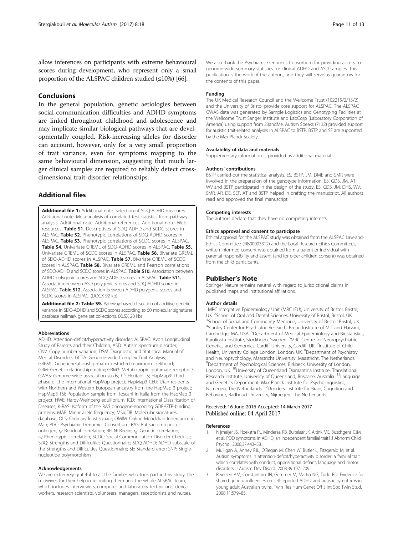<span id="page-10-0"></span>allow inferences on participants with extreme behavioural scores during development, who represent only a small proportion of the ALSPAC children studied  $(\leq 10\%)$  [\[66\]](#page-12-0).

# Conclusions

In the general population, genetic aetiologies between social-communication difficulties and ADHD symptoms are linked throughout childhood and adolescence and may implicate similar biological pathways that are developmentally coupled. Risk-increasing alleles for disorder can account, however, only for a very small proportion of trait variance, even for symptoms mapping to the same behavioural dimension, suggesting that much larger clinical samples are required to reliably detect crossdimensional trait-disorder relationships.

# Additional files

[Additional file 1:](dx.doi.org/10.1186/s13229-017-0131-2) Additional note. Selection of SDQ-ADHD measures. Additional note. Meta-analysis of correlated test statistics from pathway analysis. Additional note. Additional references. Additional note. Web resources. Table S1. Descriptives of SDQ-ADHD and SCDC scores in ALSPAC. Table S2. Phenotypic correlations of SDQ-ADHD scores in ALSPAC. Table S3. Phenotypic correlations of SCDC scores in ALSPAC. Table S4. Univariate GREML of SDQ-ADHD scores in ALSPAC. Table S5. Univariate GREML of SCDC scores in ALSPAC. Table S6. Bivariate GREML of SDO-ADHD scores in ALSPAC. Table S7. Bivariate GREML of SCDC scores in ALSPAC. Table S8. Bivariate GREML and Pearson correlations of SDQ-ADHD and SCDC scores in ALSPAC. Table S10. Association between ADHD polygenic scores and SDQ-ADHD scores in ALSPAC. Table S11. Association between ASD polygenic scores and SDQ-ADHD scores in ALSPAC. Table S12. Association between ADHD polygenic scores and SCDC scores in ALSPAC. (DOCX 92 kb)

[Additional file 2: Table S9.](dx.doi.org/10.1186/s13229-017-0131-2) Pathway-based dissection of additive genetic variance in SDQ-ADHD and SCDC scores according to 50 molecular signatures database hallmark gene set collections. (XLSX 20 kb)

#### Abbreviations

ADHD: Attention-deficit/hyperactivity disorder; ALSPAC: Avon Longitudinal Study of Parents and their Children; ASD: Autism spectrum disorder; CNV: Copy number variation; DSM: Diagnostic and Statistical Manual of Mental Disorders; GCTA: Genome-wide Complex Trait Analysis; GREML: Genetic-relationship-matrix restricted maximum likelihood; GRM: Genetic-relationship-matrix; GRM3: Metabotropic glutamate receptor 3; GWAS: Genome-wide association study; h<sup>2</sup>: Heritability; HapMap3: Third phase of the International HapMap project; HapMap3 CEU: Utah residents with Northern and Western European ancestry from the HapMap 3 project; HapMap3 TSI: Population sample from Toscani in Italia from the HapMap 3 project; HWE: Hardy-Weinberg equilibrium; ICD: International Classification of Diseases; K-RAS: Isoform of the RAS oncogene-encoding GDP/GTP-binding proteins; MAF: Minor allele frequency; MSigDB: Molecular signatures database; OLS: Ordinary least square; OMIM: Online Mendelian Inheritance in Man; PGC: Psychiatric Genomics Consortium; RAS: Rat sarcoma protoonkogen; r<sub>e</sub>: Residual correlation; RELN: Reelin; r<sub>g</sub>: Genetic correlation;  $r_{\rm p}$ : Phenotypic correlation; SCDC: Social Communication Disorder Checklist; SDQ: Strengths and Difficulties Questionnaire; SDQ-ADHD: ADHD subscale of the Strengths and Difficulties Questionnaire; SE: Standard error; SNP: Singlenucleotide polymorphism

#### Acknowledgements

We are extremely grateful to all the families who took part in this study, the midwives for their help in recruiting them and the whole ALSPAC team, which includes interviewers, computer and laboratory technicians, clerical workers, research scientists, volunteers, managers, receptionists and nurses.

We also thank the Psychiatric Genomics Consortium for providing access to genome-wide summary statistics for clinical ADHD and ASD samples. This publication is the work of the authors, and they will serve as guarantors for the contents of this paper.

#### Funding

The UK Medical Research Council and the Wellcome Trust (102215/2/13/2) and the University of Bristol provide core support for ALSPAC. The ALSPAC GWAS data was generated by Sample Logistics and Genotyping Facilities at the Wellcome Trust Sanger Institute and LabCorp (Laboratory Corporation of America) using support from 23andMe. Autism Speaks (7132) provided support for autistic trait-related analyses in ALSPAC to BSTP. BSTP and SF are supported by the Max Planck Society.

#### Availability of data and materials

Supplementary information is provided as additional material.

#### Authors' contributions

BSTP carried out the statistical analysis. ES, BSTP, JM, DME and SMR were involved in the preparation of the genotype information. ES, GDS, JM, AT, WV and BSTP participated in the design of the study. ES, GDS, JM, DHS, WV, SMR, AR, DE, SEF, AT and BSTP helped in drafting the manuscript. All authors read and approved the final manuscript.

#### Competing interests

The authors declare that they have no competing interests.

#### Ethics approval and consent to participate

Ethical approval for the ALSPAC study was obtained from the ALSPAC Law-and-Ethics Committee (IRB00003312) and the Local Research-Ethics Committees, written informed consent was obtained from a parent or individual with parental responsibility and assent (and for older children consent) was obtained from the child participants.

#### Publisher's Note

Springer Nature remains neutral with regard to jurisdictional claims in published maps and institutional affiliations.

#### Author details

<sup>1</sup>MRC Integrative Epidemiology Unit (MRC IEU), University of Bristol, Bristol, UK. <sup>2</sup> School of Oral and Dental Sciences, University of Bristol, Bristol, UK<br><sup>3</sup> School of Social and Community Modicing, University of Bristol, Bristol <sup>3</sup>School of Social and Community Medicine, University of Bristol, Bristol, UK. 4 Stanley Center for Psychiatric Research, Broad Institute of MIT and Harvard, Cambridge, MA, USA.<sup>5</sup> Department of Medical Epidemiology and Biostatistics Karolinska Institute, Stockholm, Sweden. <sup>6</sup>MRC Centre for Neuropsychiatric Genetics and Genomics, Cardiff University, Cardiff, UK. <sup>7</sup>Institute of Child Health, University College London, London, UK. <sup>8</sup>Department of Psychiatry and Neuropsychology, Maastricht University, Maastricht, The Netherlands. 9 Department of Psychological Sciences, Birkbeck, University of London, London, UK. 10University of Queensland Diamantina Institute, Translational Research Institute, University of Queensland, Brisbane, Australia. <sup>11</sup> Language and Genetics Department, Max Planck Institute for Psycholinguistics,<br>Nijmegen, The Netherlands. <sup>12</sup>Donders Institute for Brain, Cognition and Behaviour, Radboud University, Nijmegen, The Netherlands.

#### Received: 16 June 2016 Accepted: 14 March 2017 Published online: 04 April 2017

#### References

- 1. Nijmeijer JS, Hoekstra PJ, Minderaa RB, Buitelaar JK, Altink ME, Buschgens CJM, et al. PDD symptoms in ADHD, an independent familial trait? J Abnorm Child Psychol. 2008;37:443–53.
- 2. Mulligan A, Anney RJL, O'Regan M, Chen W, Butler L, Fitzgerald M, et al. Autism symptoms in attention-deficit/hyperactivity disorder: a familial trait which correlates with conduct, oppositional defiant, language and motor disorders. J Autism Dev Disord. 2008;39:197–209.
- 3. Reiersen AM, Constantino JN, Grimmer M, Martin NG, Todd RD. Evidence for shared genetic influences on self-reported ADHD and autistic symptoms in young adult Australian twins. Twin Res Hum Genet Off J Int Soc Twin Stud. 2008;11:579–85.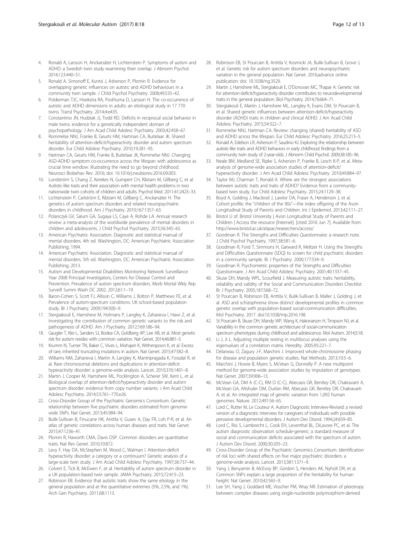- <span id="page-11-0"></span>4. Ronald A, Larsson H, Anckarsäter H, Lichtenstein P. Symptoms of autism and ADHD: a Swedish twin study examining their overlap. J Abnorm Psychol. 2014;123:440–51.
- 5. Ronald A, Simonoff E, Kuntsi J, Asherson P, Plomin R. Evidence for overlapping genetic influences on autistic and ADHD behaviours in a community twin sample. J Child Psychol Psychiatry. 2008;49:535–42.
- Polderman TJC, Hoekstra RA, Posthuma D, Larsson H. The co-occurrence of autistic and ADHD dimensions in adults: an etiological study in 17 770 twins. Transl Psychiatry. 2014;4:e435.
- 7. Constantino JN, Hudziak JJ, Todd RD. Deficits in reciprocal social behavior in male twins: evidence for a genetically independent domain of psychopathology. J Am Acad Child Adolesc Psychiatry. 2003;42:458–67.
- 8. Rommelse NNJ, Franke B, Geurts HM, Hartman CA, Buitelaar JK. Shared heritability of attention-deficit/hyperactivity disorder and autism spectrum disorder. Eur Child Adolesc Psychiatry. 2010;19:281–95.
- Hartman CA, Geurts HM, Franke B, Buitelaar JK, Rommelse NNJ. Changing ASD-ADHD symptom co-occurrence across the lifespan with adolescence as crucial time window: illustrating the need to go beyond childhood. Neurosci Biobehav Rev. 2016; doi: [10.1016/j.neubiorev.2016.09.003.](http://dx.doi.org/10.1016/j.neubiorev.2016.09.003)
- 10. Lundström S, Chang Z, Kerekes N, Gumpert CH, Råstam M, Gillberg C, et al. Autistic-like traits and their association with mental health problems in two nationwide twin cohorts of children and adults. Psychol Med. 2011;41:2423–33.
- 11. Lichtenstein P, Carlström E, Råstam M, Gillberg C, Anckarsäter H. The genetics of autism spectrum disorders and related neuropsychiatric disorders in childhood. Am J Psychiatry. 2010;167:1357–63.
- 12. Polanczyk GV, Salum GA, Sugaya LS, Caye A, Rohde LA. Annual research review: a meta-analysis of the worldwide prevalence of mental disorders in children and adolescents. J Child Psychol Psychiatry. 2015;56:345–65.
- 13. American Psychiatric Association. Diagnostic and statistical manual of mental disorders. 4th ed. Washington, DC: American Psychiatric Association Publishing; 1994
- 14. American Psychiatric Association. Diagnostic and statistical manual of mental disorders. 5th ed. Washington, DC: American Psychiatric Association Publishing; 2013.
- 15. Autism and Developmental Disabilities Monitoring Network Surveillance Year 2008 Principal Investigators, Centers for Disease Control and Prevention. Prevalence of autism spectrum disorders. Morb Mortal Wkly Rep Surveill Summ Wash DC 2002. 2012;61:1–19.
- 16. Baron-Cohen S, Scott FJ, Allison C, Williams J, Bolton P, Matthews FE, et al. Prevalence of autism-spectrum conditions: UK school-based population study. Br J Psychiatry. 2009;194:500–9.
- 17. Stergiakouli E, Hamshere M, Holmans P, Langley K, Zaharieva I, Hawi Z, et al. Investigating the contribution of common genetic variants to the risk and pathogenesis of ADHD. Am J Psychiatry. 2012;169:186–94.
- 18. Gaugler T, Klei L, Sanders SJ, Bodea CA, Goldberg AP, Lee AB, et al. Most genetic risk for autism resides with common variation. Nat Genet. 2014;46:881–5.
- Krumm N, Turner TN, Baker C, Vives L, Mohajeri K, Witherspoon K, et al. Excess of rare, inherited truncating mutations in autism. Nat Genet. 2015;47:582–8.
- 20. Williams NM, Zaharieva I, Martin A, Langley K, Mantripragada K, Fossdal R, et al. Rare chromosomal deletions and duplications in attention-deficit hyperactivity disorder: a genome-wide analysis. Lancet. 2010;376:1401–8.
- 21. Martin J, Cooper M, Hamshere ML, Pocklington A, Scherer SW, Kent L, et al. Biological overlap of attention-deficit/hyperactivity disorder and autism spectrum disorder: evidence from copy number variants. J Am Acad Child Adolesc Psychiatry. 2014;53:761–770.e26.
- 22. Cross-Disorder Group of the Psychiatric Genomics Consortium. Genetic relationship between five psychiatric disorders estimated from genomewide SNPs. Nat Genet. 2013;45:984–94.
- 23. Bulik-Sullivan B, Finucane HK, Anttila V, Gusev A, Day FR, Loh P-R, et al. An atlas of genetic correlations across human diseases and traits. Nat Genet. 2015;47:1236–41.
- 24. Plomin R, Haworth CMA, Davis OSP. Common disorders are quantitative traits. Nat Rev Genet. 2010;10:872.
- 25. Levy F, Hay DA, McStephen M, Wood C, Walman I. Attention-deficit hyperactivity disorder: a category or a continuum? Genetic analysis of a large-scale twin study. J Am Acad Child Adolesc Psychiatry. 1997;36:737–44.
- 26. Colvert E, Tick B, McEwen F, et al. Heritability of autism spectrum disorder in a UK population-based twin sample. JAMA Psychiatry. 2015;72:415–23.
- 27. Robinson EB. Evidence that autistic traits show the same etiology in the general population and at the quantitative extremes (5%, 2.5%, and 1%). Arch Gen Psychiatry. 2011;68:1113.
- 28. Robinson EB, St Pourcain B, Anttila V, Kosmicki JA, Bulik-Sullivan B, Grove J, et al. Genetic risk for autism spectrum disorders and neuropsychiatric variation in the general population. Nat Genet. 2016;advance online publication: doi: [10.1038/ng.3529](http://dx.doi.org/10.1038/ng.3529).
- 29. Martin J, Hamshere ML, Stergiakouli E, O'Donovan MC, Thapar A. Genetic risk for attention-deficit/hyperactivity disorder contributes to neurodevelopmental traits in the general population. Biol Psychiatry. 2014;76:664–71.
- 30. Stergiakouli E, Martin J, Hamshere ML, Langley K, Evans DM, St Pourcain B, et al. Shared genetic influences between attention-deficit/hyperactivity disorder (ADHD) traits in children and clinical ADHD. J Am Acad Child Adolesc Psychiatry. 2015;54:322–7.
- 31. Rommelse NNJ, Hartman CA. Review: changing (shared) heritability of ASD and ADHD across the lifespan. Eur Child Adolesc Psychiatry. 2016;25:213–5.
- 32. Ronald A, Edelson LR, Asherson P, Saudino KJ. Exploring the relationship between autistic-like traits and ADHD behaviors in early childhood: findings from a community twin study of 2-year-olds. J Abnorm Child Psychol. 2009;38:185–96.
- 33. Neale BM, Medland SE, Ripke S, Asherson P, Franke B, Lesch K-P, et al. Metaanalysis of genome-wide association studies of attention-deficit/ hyperactivity disorder. J Am Acad Child Adolesc Psychiatry. 2010;49:884–97.
- 34. Taylor MJ, Charman T, Ronald A. Where are the strongest associations between autistic traits and traits of ADHD? Evidence from a communitybased twin study. Eur Child Adolesc Psychiatry. 2015;24:1129–38.
- 35. Boyd A, Golding J, Macleod J, Lawlor DA, Fraser A, Henderson J, et al. Cohort profile: the "children of the 90s"—the index offspring of the Avon Longitudinal Study of Parents and Children. Int J Epidemiol. 2013;42:111–27.
- 36. Bristol U of. Bristol University | Avon Longitudinal Study of Parents and Children | Access the resource [Internet]. [cited 2016 Jun 7]. Available from: <http://www.bristol.ac.uk/alspac/researchers/access/>
- 37. Goodman R. The Strengths and Difficulties Questionnaire: a research note. J Child Psychol Psychiatry. 1997;38:581–6.
- 38. Goodman R, Ford T, Simmons H, Gatward R, Meltzer H. Using the Strengths and Difficulties Questionnaire (SDQ) to screen for child psychiatric disorders in a community sample. Br J Psychiatry. 2000;177:534–9.
- 39. Goodman R. Psychometric properties of the Strengths and Difficulties Questionnaire. J Am Acad Child Adolesc Psychiatry. 2001;40:1337–45.
- 40. Skuse DH, Mandy WPL, Scourfield J. Measuring autistic traits: heritability, reliability and validity of the Social and Communication Disorders Checklist. Br J Psychiatry. 2005;187:568–72.
- 41. St Pourcain B, Robinson EB, Anttila V, Bulik-Sullivan B, Maller J, Golding J, et al. ASD and schizophrenia show distinct developmental profiles in common genetic overlap with population-based social-communication difficulties. Mol Psychiatry. 2017. doi[:10.1038/mp.2016.198](http://dx.doi.org/10.1038/mp.2016.198).
- 42. St Pourcain B, Skuse DH, Mandy WP, Wang K, Hakonarson H, Timpson NJ, et al. Variability in the common genetic architecture of social-communication spectrum phenotypes during childhood and adolescence. Mol Autism. 2014;5:18.
- 43. Li J, Ji L. Adjusting multiple testing in multilocus analyses using the eigenvalues of a correlation matrix. Heredity. 2005;95:221–7.
- 44. Delaneau O, Zagury J-F, Marchini J. Improved whole-chromosome phasing for disease and population genetic studies. Nat Methods. 2013;10:5–6.
- 45. Marchini J, Howie B, Myers S, McVean G, Donnelly P. A new multipoint method for genome-wide association studies by imputation of genotypes. Nat Genet. 2007;39:906–13.
- 46. McVean GA, DM A (C-C), RM D (C-C), Abecasis GR, Bentley DR, Chakravarti A, McVean GA, Altshuler DM, Durbin RM, Abecasis GR, Bentley DR, Chakravarti A, et al. An integrated map of genetic variation from 1,092 human genomes. Nature. 2012;491:56–65.
- 47. Lord C, Rutter M, Le Couteur A. Autism Diagnostic Interview-Revised: a revised version of a diagnostic interview for caregivers of individuals with possible pervasive developmental disorders. J Autism Dev Disord. 1994;24:659–85.
- 48. Lord C, Risi S, Lambrecht L, Cook EH, Leventhal BL, DiLavore PC, et al. The autism diagnostic observation schedule-generic: a standard measure of social and communication deficits associated with the spectrum of autism. J Autism Dev Disord. 2000;30:205–23.
- 49. Cross-Disorder Group of the Psychiatric Genomics Consortium. Identification of risk loci with shared effects on five major psychiatric disorders: a genome-wide analysis. Lancet. 2013;381:1371–9.
- 50. Yang J, Benyamin B, McEvoy BP, Gordon S, Henders AK, Nyholt DR, et al. Common SNPs explain a large proportion of the heritability for human height. Nat Genet. 2010;42:565–9.
- 51. Lee SH, Yang J, Goddard ME, Visscher PM, Wray NR. Estimation of pleiotropy between complex diseases using single-nucleotide polymorphism-derived